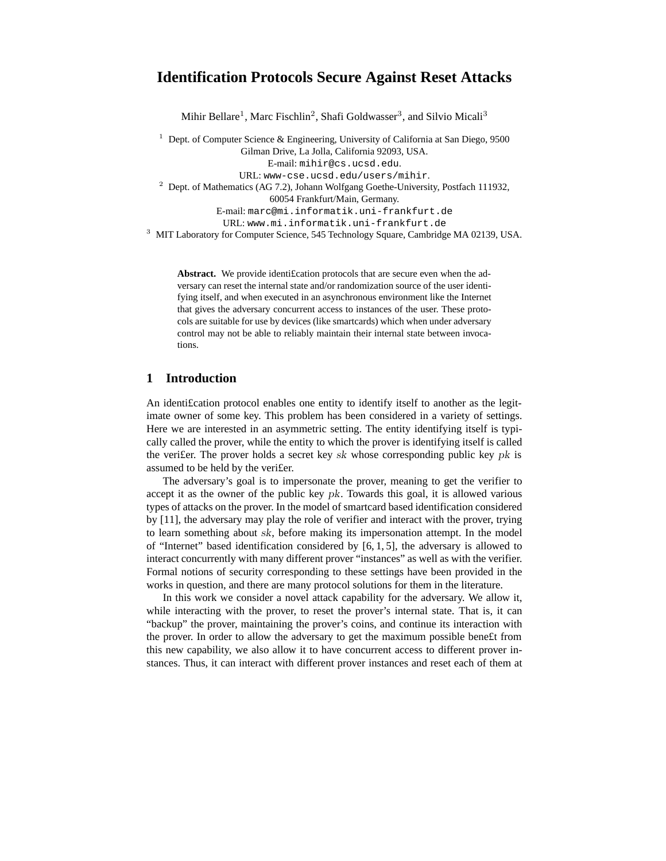# **Identification Protocols Secure Against Reset Attacks**

Mihir Bellare<sup>1</sup>, Marc Fischlin<sup>2</sup>, Shafi Goldwasser<sup>3</sup>, and Silvio Micali<sup>3</sup>

<sup>1</sup> Dept. of Computer Science & Engineering, University of California at San Diego, 9500 Gilman Drive, La Jolla, California 92093, USA. E-mail: mihir@cs.ucsd.edu. URL: www-cse.ucsd.edu/users/mihir.

<sup>2</sup> Dept. of Mathematics (AG 7.2), Johann Wolfgang Goethe-University, Postfach 111932,

60054 Frankfurt/Main, Germany.

E-mail: marc@mi.informatik.uni-frankfurt.de

URL: www.mi.informatik.uni-frankfurt.de

<sup>3</sup> MIT Laboratory for Computer Science, 545 Technology Square, Cambridge MA 02139, USA.

Abstract. We provide identi£cation protocols that are secure even when the adversary can reset the internal state and/or randomization source of the user identifying itself, and when executed in an asynchronous environment like the Internet that gives the adversary concurrent access to instances of the user. These protocols are suitable for use by devices (like smartcards) which when under adversary control may not be able to reliably maintain their internal state between invocations.

# **1 Introduction**

An identi£cation protocol enables one entity to identify itself to another as the legitimate owner of some key. This problem has been considered in a variety of settings. Here we are interested in an asymmetric setting. The entity identifying itself is typically called the prover, while the entity to which the prover is identifying itself is called the veri£er. The prover holds a secret key sk whose corresponding public key pk is assumed to be held by the veri£er.

The adversary's goal is to impersonate the prover, meaning to get the verifier to accept it as the owner of the public key pk. Towards this goal, it is allowed various types of attacks on the prover. In the model of smartcard based identification considered by [11], the adversary may play the role of verifier and interact with the prover, trying to learn something about sk, before making its impersonation attempt. In the model of "Internet" based identification considered by [6, 1, 5], the adversary is allowed to interact concurrently with many different prover "instances" as well as with the verifier. Formal notions of security corresponding to these settings have been provided in the works in question, and there are many protocol solutions for them in the literature.

In this work we consider a novel attack capability for the adversary. We allow it, while interacting with the prover, to reset the prover's internal state. That is, it can "backup" the prover, maintaining the prover's coins, and continue its interaction with the prover. In order to allow the adversary to get the maximum possible bene£t from this new capability, we also allow it to have concurrent access to different prover instances. Thus, it can interact with different prover instances and reset each of them at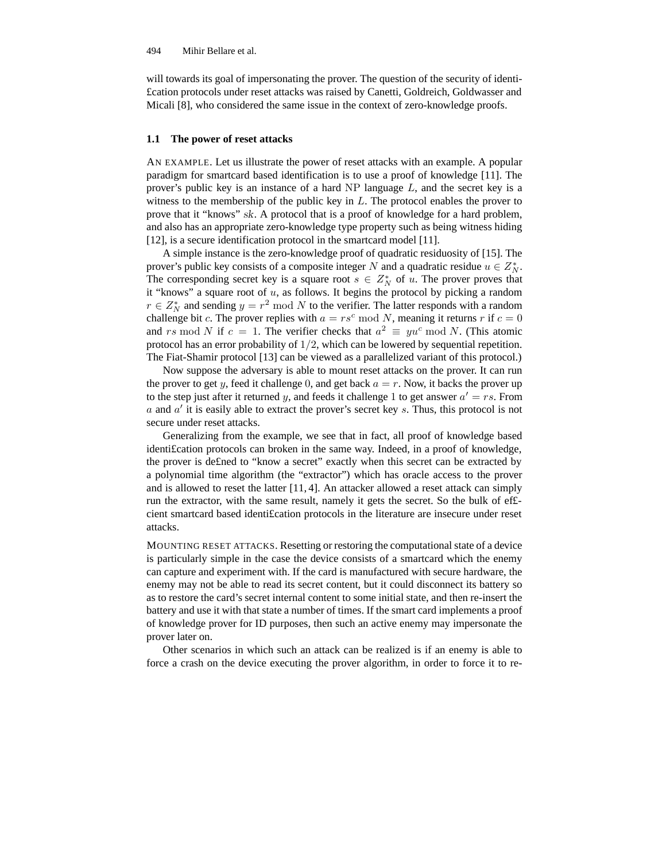will towards its goal of impersonating the prover. The question of the security of identi- £cation protocols under reset attacks was raised by Canetti, Goldreich, Goldwasser and Micali [8], who considered the same issue in the context of zero-knowledge proofs.

#### **1.1 The power of reset attacks**

AN EXAMPLE. Let us illustrate the power of reset attacks with an example. A popular paradigm for smartcard based identification is to use a proof of knowledge [11]. The prover's public key is an instance of a hard  $NP$  language  $L$ , and the secret key is a witness to the membership of the public key in  $L$ . The protocol enables the prover to prove that it "knows" sk. A protocol that is a proof of knowledge for a hard problem, and also has an appropriate zero-knowledge type property such as being witness hiding [12], is a secure identification protocol in the smartcard model [11].

A simple instance is the zero-knowledge proof of quadratic residuosity of [15]. The prover's public key consists of a composite integer N and a quadratic residue  $u \in Z_N^*$ . The corresponding secret key is a square root  $s \in Z_N^*$  of u. The prover proves that it "knows" a square root of  $u$ , as follows. It begins the protocol by picking a random  $r \in Z_N^*$  and sending  $y = r^2 \mod N$  to the verifier. The latter responds with a random challenge bit c. The prover replies with  $a = rs^c \mod N$ , meaning it returns r if  $c = 0$ and rs mod N if  $c = 1$ . The verifier checks that  $a^2 \equiv yu^c \mod N$ . (This atomic protocol has an error probability of  $1/2$ , which can be lowered by sequential repetition. The Fiat-Shamir protocol [13] can be viewed as a parallelized variant of this protocol.)

Now suppose the adversary is able to mount reset attacks on the prover. It can run the prover to get y, feed it challenge 0, and get back  $a = r$ . Now, it backs the prover up to the step just after it returned y, and feeds it challenge 1 to get answer  $a' = rs$ . From  $a$  and  $a'$  it is easily able to extract the prover's secret key  $s$ . Thus, this protocol is not secure under reset attacks.

Generalizing from the example, we see that in fact, all proof of knowledge based identi£cation protocols can broken in the same way. Indeed, in a proof of knowledge, the prover is de£ned to "know a secret" exactly when this secret can be extracted by a polynomial time algorithm (the "extractor") which has oracle access to the prover and is allowed to reset the latter [11, 4]. An attacker allowed a reset attack can simply run the extractor, with the same result, namely it gets the secret. So the bulk of ef£ cient smartcard based identi£cation protocols in the literature are insecure under reset attacks.

MOUNTING RESET ATTACKS. Resetting or restoring the computational state of a device is particularly simple in the case the device consists of a smartcard which the enemy can capture and experiment with. If the card is manufactured with secure hardware, the enemy may not be able to read its secret content, but it could disconnect its battery so as to restore the card's secret internal content to some initial state, and then re-insert the battery and use it with that state a number of times. If the smart card implements a proof of knowledge prover for ID purposes, then such an active enemy may impersonate the prover later on.

Other scenarios in which such an attack can be realized is if an enemy is able to force a crash on the device executing the prover algorithm, in order to force it to re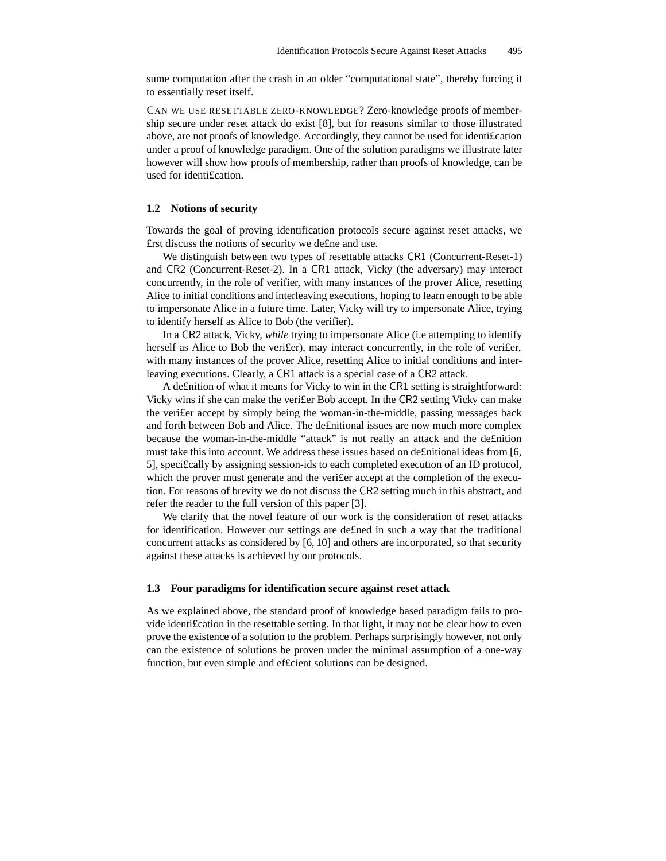sume computation after the crash in an older "computational state", thereby forcing it to essentially reset itself.

CAN WE USE RESETTABLE ZERO-KNOWLEDGE? Zero-knowledge proofs of membership secure under reset attack do exist [8], but for reasons similar to those illustrated above, are not proofs of knowledge. Accordingly, they cannot be used for identi£cation under a proof of knowledge paradigm. One of the solution paradigms we illustrate later however will show how proofs of membership, rather than proofs of knowledge, can be used for identi£cation.

### **1.2 Notions of security**

Towards the goal of proving identification protocols secure against reset attacks, we £rst discuss the notions of security we de£ne and use.

We distinguish between two types of resettable attacks CR1 (Concurrent-Reset-1) and CR2 (Concurrent-Reset-2). In a CR1 attack, Vicky (the adversary) may interact concurrently, in the role of verifier, with many instances of the prover Alice, resetting Alice to initial conditions and interleaving executions, hoping to learn enough to be able to impersonate Alice in a future time. Later, Vicky will try to impersonate Alice, trying to identify herself as Alice to Bob (the verifier).

In a CR2 attack, Vicky, *while* trying to impersonate Alice (i.e attempting to identify herself as Alice to Bob the veri£er), may interact concurrently, in the role of veri£er, with many instances of the prover Alice, resetting Alice to initial conditions and interleaving executions. Clearly, a CR1 attack is a special case of a CR2 attack.

A de£nition of what it means for Vicky to win in the CR1 setting is straightforward: Vicky wins if she can make the veri£er Bob accept. In the CR2 setting Vicky can make the veri£er accept by simply being the woman-in-the-middle, passing messages back and forth between Bob and Alice. The de£nitional issues are now much more complex because the woman-in-the-middle "attack" is not really an attack and the de£nition must take this into account. We address these issues based on de£nitional ideas from [6, 5], speci£cally by assigning session-ids to each completed execution of an ID protocol, which the prover must generate and the veri£er accept at the completion of the execution. For reasons of brevity we do not discuss the CR2 setting much in this abstract, and refer the reader to the full version of this paper [3].

We clarify that the novel feature of our work is the consideration of reset attacks for identification. However our settings are de£ned in such a way that the traditional concurrent attacks as considered by [6, 10] and others are incorporated, so that security against these attacks is achieved by our protocols.

## **1.3 Four paradigms for identification secure against reset attack**

As we explained above, the standard proof of knowledge based paradigm fails to provide identi£cation in the resettable setting. In that light, it may not be clear how to even prove the existence of a solution to the problem. Perhaps surprisingly however, not only can the existence of solutions be proven under the minimal assumption of a one-way function, but even simple and ef£cient solutions can be designed.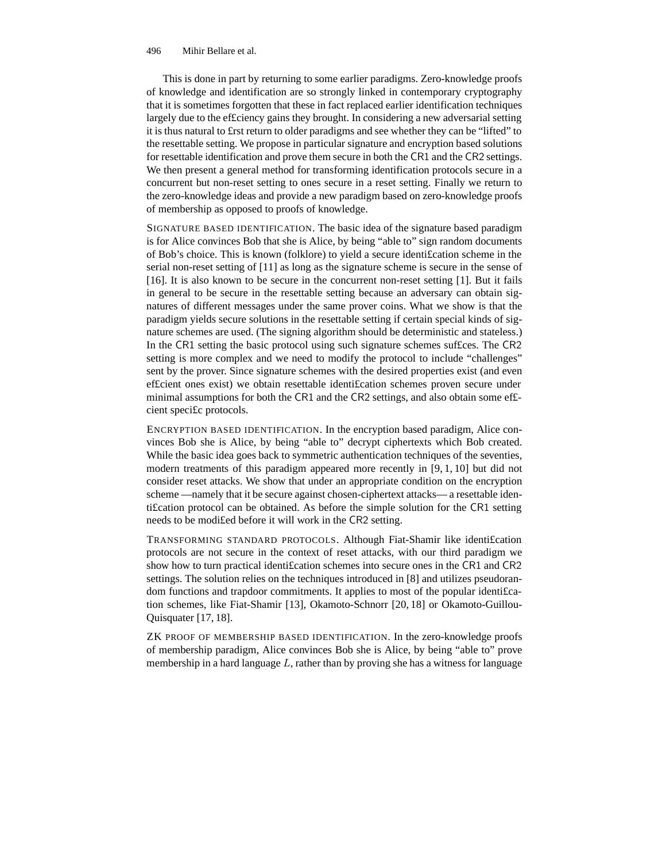This is done in part by returning to some earlier paradigms. Zero-knowledge proofs of knowledge and identification are so strongly linked in contemporary cryptography that it is sometimes forgotten that these in fact replaced earlier identification techniques largely due to the ef£ciency gains they brought. In considering a new adversarial setting it is thus natural to £rst return to older paradigms and see whether they can be "lifted" to the resettable setting. We propose in particular signature and encryption based solutions for resettable identification and prove them secure in both the CR1 and the CR2 settings. We then present a general method for transforming identification protocols secure in a concurrent but non-reset setting to ones secure in a reset setting. Finally we return to the zero-knowledge ideas and provide a new paradigm based on zero-knowledge proofs of membership as opposed to proofs of knowledge.

SIGNATURE BASED IDENTIFICATION. The basic idea of the signature based paradigm is for Alice convinces Bob that she is Alice, by being "able to" sign random documents of Bob's choice. This is known (folklore) to yield a secure identi£cation scheme in the serial non-reset setting of [11] as long as the signature scheme is secure in the sense of [16]. It is also known to be secure in the concurrent non-reset setting [1]. But it fails in general to be secure in the resettable setting because an adversary can obtain signatures of different messages under the same prover coins. What we show is that the paradigm yields secure solutions in the resettable setting if certain special kinds of signature schemes are used. (The signing algorithm should be deterministic and stateless.) In the CR1 setting the basic protocol using such signature schemes suf£ces. The CR2 setting is more complex and we need to modify the protocol to include "challenges" sent by the prover. Since signature schemes with the desired properties exist (and even ef£cient ones exist) we obtain resettable identi£cation schemes proven secure under minimal assumptions for both the CR1 and the CR2 settings, and also obtain some ef£ cient speci£c protocols.

ENCRYPTION BASED IDENTIFICATION. In the encryption based paradigm, Alice convinces Bob she is Alice, by being "able to" decrypt ciphertexts which Bob created. While the basic idea goes back to symmetric authentication techniques of the seventies, modern treatments of this paradigm appeared more recently in [9, 1, 10] but did not consider reset attacks. We show that under an appropriate condition on the encryption scheme —namely that it be secure against chosen-ciphertext attacks— a resettable identi£cation protocol can be obtained. As before the simple solution for the CR1 setting needs to be modi£ed before it will work in the CR2 setting.

TRANSFORMING STANDARD PROTOCOLS. Although Fiat-Shamir like identi£cation protocols are not secure in the context of reset attacks, with our third paradigm we show how to turn practical identi£cation schemes into secure ones in the CR1 and CR2 settings. The solution relies on the techniques introduced in [8] and utilizes pseudorandom functions and trapdoor commitments. It applies to most of the popular identification schemes, like Fiat-Shamir [13], Okamoto-Schnorr [20, 18] or Okamoto-Guillou-Quisquater [17, 18].

ZK PROOF OF MEMBERSHIP BASED IDENTIFICATION. In the zero-knowledge proofs of membership paradigm, Alice convinces Bob she is Alice, by being "able to" prove membership in a hard language  $L$ , rather than by proving she has a witness for language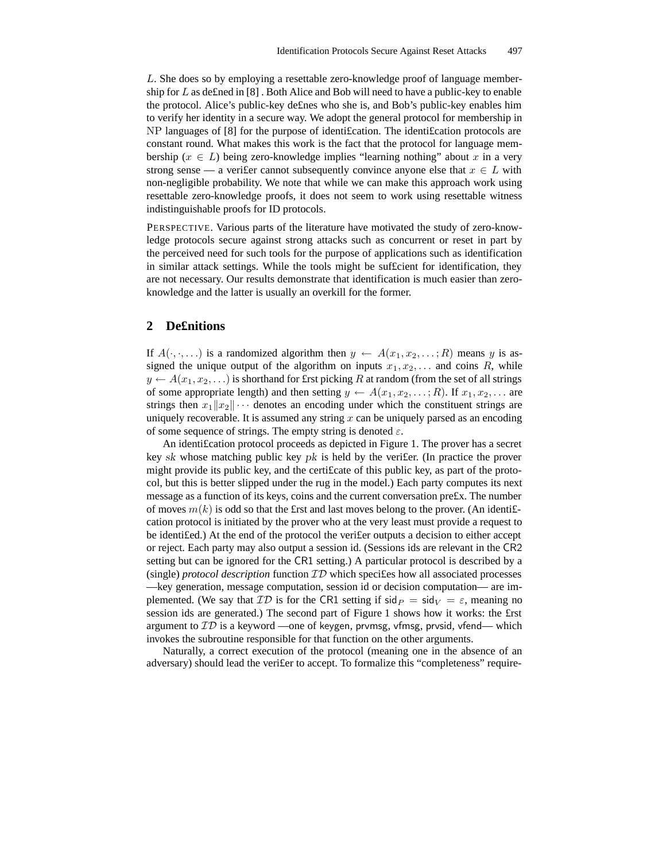L. She does so by employing a resettable zero-knowledge proof of language membership for  $L$  as defined in [8]. Both Alice and Bob will need to have a public-key to enable the protocol. Alice's public-key de£nes who she is, and Bob's public-key enables him to verify her identity in a secure way. We adopt the general protocol for membership in NP languages of [8] for the purpose of identi£cation. The identi£cation protocols are constant round. What makes this work is the fact that the protocol for language membership ( $x \in L$ ) being zero-knowledge implies "learning nothing" about x in a very strong sense — a veri£er cannot subsequently convince anyone else that  $x \in L$  with non-negligible probability. We note that while we can make this approach work using resettable zero-knowledge proofs, it does not seem to work using resettable witness indistinguishable proofs for ID protocols.

PERSPECTIVE. Various parts of the literature have motivated the study of zero-knowledge protocols secure against strong attacks such as concurrent or reset in part by the perceived need for such tools for the purpose of applications such as identification in similar attack settings. While the tools might be suf£cient for identification, they are not necessary. Our results demonstrate that identification is much easier than zeroknowledge and the latter is usually an overkill for the former.

# **2 De£nitions**

If  $A(\cdot, \cdot, \ldots)$  is a randomized algorithm then  $y \leftarrow A(x_1, x_2, \ldots; R)$  means y is assigned the unique output of the algorithm on inputs  $x_1, x_2, \ldots$  and coins R, while  $y \leftarrow A(x_1, x_2, \ldots)$  is shorthand for £rst picking R at random (from the set of all strings of some appropriate length) and then setting  $y \leftarrow A(x_1, x_2, \ldots; R)$ . If  $x_1, x_2, \ldots$  are strings then  $x_1||x_2|| \cdots$  denotes an encoding under which the constituent strings are uniquely recoverable. It is assumed any string  $x$  can be uniquely parsed as an encoding of some sequence of strings. The empty string is denoted  $\varepsilon$ .

An identi£cation protocol proceeds as depicted in Figure 1. The prover has a secret key sk whose matching public key pk is held by the veri£er. (In practice the prover might provide its public key, and the certi£cate of this public key, as part of the protocol, but this is better slipped under the rug in the model.) Each party computes its next message as a function of its keys, coins and the current conversation pre $\pounds$ x. The number of moves  $m(k)$  is odd so that the £rst and last moves belong to the prover. (An identi£cation protocol is initiated by the prover who at the very least must provide a request to be identi£ed.) At the end of the protocol the veri£er outputs a decision to either accept or reject. Each party may also output a session id. (Sessions ids are relevant in the CR2 setting but can be ignored for the CR1 setting.) A particular protocol is described by a (single) *protocol description* function ID which speci£es how all associated processes —key generation, message computation, session id or decision computation— are implemented. (We say that  $\mathcal{ID}$  is for the CR1 setting if  $\sinh P = \sinh Q = \varepsilon$ , meaning no session ids are generated.) The second part of Figure 1 shows how it works: the £rst argument to  $\mathcal{ID}$  is a keyword —one of keygen, prvmsg, vfmsg, prvsid, vfend— which invokes the subroutine responsible for that function on the other arguments.

Naturally, a correct execution of the protocol (meaning one in the absence of an adversary) should lead the veri£er to accept. To formalize this "completeness" require-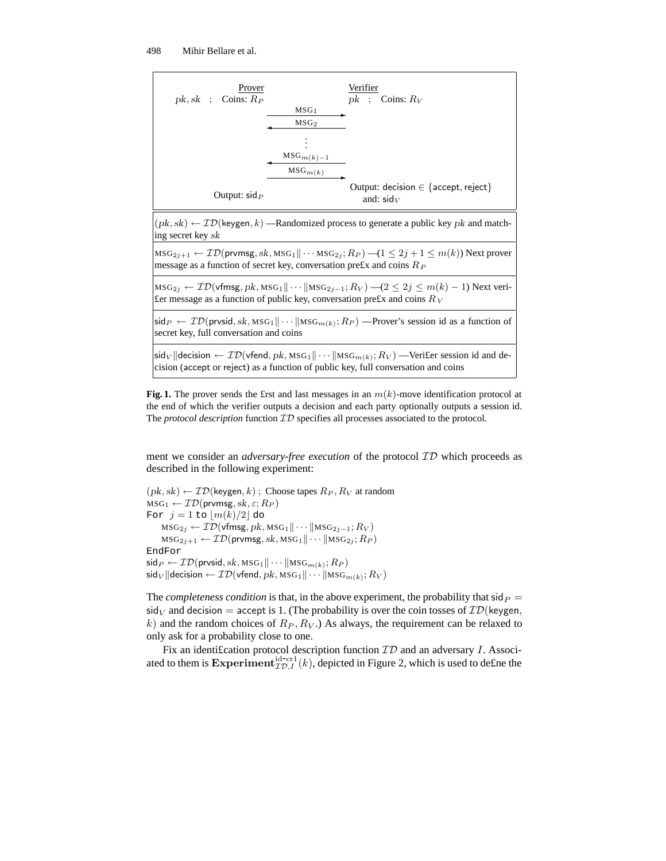

cision (accept or reject) as a function of public key, full conversation and coins

**Fig. 1.** The prover sends the £rst and last messages in an  $m(k)$ -move identification protocol at the end of which the verifier outputs a decision and each party optionally outputs a session id. The *protocol description* function  $ID$  specifies all processes associated to the protocol.

ment we consider an *adversary-free execution* of the protocol ID which proceeds as described in the following experiment:

 $(pk, sk) \leftarrow \mathcal{ID}$ (keygen, k); Choose tapes  $R_P, R_V$  at random  $\text{MSG}_1 \leftarrow \mathcal{ID}(\text{prvmsg}, sk, \varepsilon; R_P)$ For  $j = 1$  to  $\lfloor m(k)/2 \rfloor$  do  $\text{MSG}_{2j} \leftarrow \text{ID}(\text{vfmsg}, pk, \text{MSG}_1 || \cdots || \text{MSG}_{2j-1}; R_V)$  $\text{MSG}_{2j+1} \leftarrow \text{ID}(\text{prvmsg}, sk, \text{MSG}_1 \| \cdots \| \text{MSG}_{2j}; R_P)$ EndFor  $\mathsf{sid}_P \leftarrow \mathcal{ID}(\mathsf{prvsid}, \mathsf{sk}, \mathsf{MSG}_1 \| \cdots \| \mathsf{MSG}_{m(k)}; R_P)$  $\textsf{sid}_V \|$ decision ←  $\mathcal{ID}(\textsf{vfend}, pk, \textsf{MSG}_1 \| \cdots \| \textsf{MSG}_{m(k)}; R_V)$ 

The *completeness condition* is that, in the above experiment, the probability that  $\sin A$  =  $sig_V$  and decision = accept is 1. (The probability is over the coin tosses of  $\mathcal{ID}$ (keygen, k) and the random choices of  $R_P, R_V$ .) As always, the requirement can be relaxed to only ask for a probability close to one.

Fix an identification protocol description function  $\mathcal{ID}$  and an adversary I. Associated to them is  $\text{Experiment}_{TD,I}^{id-cr1}(k)$ , depicted in Figure 2, which is used to de£ne the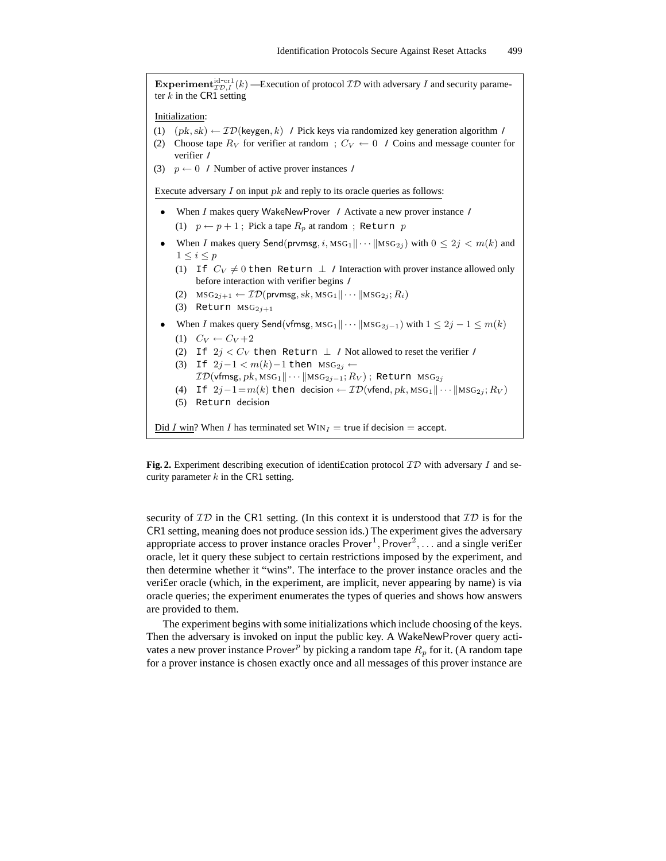(1)  $(pk, sk) \leftarrow \text{ID(keygen, k)}$  / Pick keys via randomized key generation algorithm / (2) Choose tape  $R_V$  for verifier at random ;  $C_V \leftarrow 0$  / Coins and message counter for verifier / (3)  $p \leftarrow 0$  / Number of active prover instances / Execute adversary I on input pk and reply to its oracle queries as follows: When I makes query WakeNewProver / Activate a new prover instance / (1)  $p \leftarrow p + 1$ ; Pick a tape  $R_p$  at random; Return p When I makes query Send(prvmsg, i,  $MSG_1 \cdots \parallel MSG_{2j}$ ) with  $0 \leq 2j \leq m(k)$  and  $1 \leq i \leq p$ (1) If  $C_V \neq 0$  then Return  $\perp$  / Interaction with prover instance allowed only before interaction with verifier begins / (2)  $\text{MSG}_{2j+1} \leftarrow \text{ID}(\text{prvmsg}, sk, \text{MSG}_1 \| \cdots \| \text{MSG}_{2j}; R_i)$ (3) Return  $MSG_{2i+1}$ When I makes query Send(vfmsg,  $MSG_1 \parallel \cdots \parallel MSG_{2i-1}$ ) with  $1 \leq 2j - 1 \leq m(k)$ (1)  $C_V \leftarrow C_V + 2$ (2) If  $2j < C_V$  then Return  $\perp$  / Not allowed to reset the verifier / (3) If  $2j-1 < m(k)-1$  then  $MSG_{2j}$  ←  $ID(\text{vfmsg}, \text{pk}, \text{MSG}_1 \|\cdots\|\text{MSG}_{2j-1}; R_V)$ ; Return  $\text{MSG}_{2j}$ (4) If  $2j-1=m(k)$  then decision  $\leftarrow \mathcal{ID}(\mathsf{vfend}, \mathsf{pk}, \mathsf{MSG}_1 \| \cdots \| \mathsf{MSG}_{2j}; R_V)$ (5) Return decision Did I win? When I has terminated set  $WIN_I$  = true if decision = accept.

Experiment  ${}_{\mathcal{ID},I}^{\text{id-cr1}}(k)$  —Execution of protocol  $\mathcal{ID}$  with adversary I and security parame-

ter  $k$  in the CR1 setting

Initialization:

**Fig. 2.** Experiment describing execution of identification protocol  $\mathcal{ID}$  with adversary I and security parameter  $k$  in the CR1 setting.

security of  $ID$  in the CR1 setting. (In this context it is understood that  $ID$  is for the CR1 setting, meaning does not produce session ids.) The experiment gives the adversary appropriate access to prover instance oracles  $Prover<sup>1</sup>$ , Prover<sup>2</sup>, ... and a single veri£er oracle, let it query these subject to certain restrictions imposed by the experiment, and then determine whether it "wins". The interface to the prover instance oracles and the veri£er oracle (which, in the experiment, are implicit, never appearing by name) is via oracle queries; the experiment enumerates the types of queries and shows how answers are provided to them.

The experiment begins with some initializations which include choosing of the keys. Then the adversary is invoked on input the public key. A WakeNewProver query activates a new prover instance Prover<sup>p</sup> by picking a random tape  $R_p$  for it. (A random tape for a prover instance is chosen exactly once and all messages of this prover instance are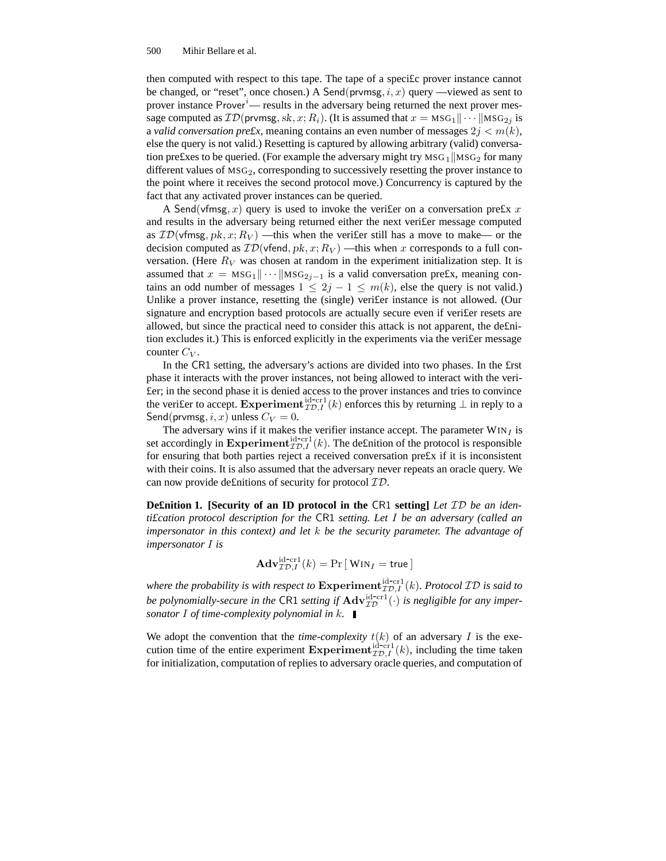then computed with respect to this tape. The tape of a speci£c prover instance cannot be changed, or "reset", once chosen.) A Send(prvmsg,  $i, x$ ) query —viewed as sent to prover instance  $Prover^3$ — results in the adversary being returned the next prover message computed as  $\mathcal{ID}(\text{prvmsg}, sk, x; R_i)$ . (It is assumed that  $x = \text{MSG}_1 || \cdots || \text{MSG}_{2j}$  is a *valid conversation prefx*, meaning contains an even number of messages  $2j < m(k)$ , else the query is not valid.) Resetting is captured by allowing arbitrary (valid) conversation pre£xes to be queried. (For example the adversary might try  $MSG_1$ ||MSG<sub>2</sub> for many different values of  $MSG_2$ , corresponding to successively resetting the prover instance to the point where it receives the second protocol move.) Concurrency is captured by the fact that any activated prover instances can be queried.

A Send(vfmsg, x) query is used to invoke the verifer on a conversation pre£x x and results in the adversary being returned either the next veri£er message computed as  $\mathcal{ID}(\text{vfmsg}, pk, x; R_V)$  —this when the verifer still has a move to make— or the decision computed as  $\mathcal{ID}(\mathsf{vfend}, p_k, x; R_V)$  —this when x corresponds to a full conversation. (Here  $R_V$  was chosen at random in the experiment initialization step. It is assumed that  $x = MSG_1 || \cdots || MSG_{2j-1}$  is a valid conversation pre£x, meaning contains an odd number of messages  $1 \leq 2j - 1 \leq m(k)$ , else the query is not valid.) Unlike a prover instance, resetting the (single) veri£er instance is not allowed. (Our signature and encryption based protocols are actually secure even if verifer resets are allowed, but since the practical need to consider this attack is not apparent, the de£nition excludes it.) This is enforced explicitly in the experiments via the veri£er message counter  $C_V$ .

In the CR1 setting, the adversary's actions are divided into two phases. In the £rst phase it interacts with the prover instances, not being allowed to interact with the veri- £er; in the second phase it is denied access to the prover instances and tries to convince the veri£er to accept. Experiment  $_{\mathcal{ID},I}^{id-cr1}(k)$  enforces this by returning  $\perp$  in reply to a Send(prvmsg, i, x) unless  $C_V = 0$ .

The adversary wins if it makes the verifier instance accept. The parameter  $WIN<sub>I</sub>$  is set accordingly in Experiment $\det_{\mathcal{ID},I}^{id-<sub>cr1</sub>}(k)$ . The definition of the protocol is responsible for ensuring that both parties reject a received conversation pre£x if it is inconsistent with their coins. It is also assumed that the adversary never repeats an oracle query. We can now provide de£nitions of security for protocol ID.

**De£nition 1. [Security of an ID protocol in the** CR1 **setting]** *Let* ID *be an identi£cation protocol description for the* CR1 *setting. Let* I *be an adversary (called an impersonator in this context) and let* k *be the security parameter. The advantage of impersonator* I *is*

$$
\mathbf{Adv}_{\mathcal{ID},I}^{\mathrm{id}\text{-}\mathrm{cr1}}(k) = \Pr\left[\,\mathbf{W}\mathbf{IN}_I = \mathsf{true}\,\right]
$$

where the probability is with respect to  ${\bf Experiment}_{\mathcal{ID},I}^{\rm id\text{-}cr1}(k)$ *. Protocol ID is said to* be polynomially-secure in the CR1 setting if  $\text{Adv}_{\mathcal{ID}}^{\text{id-cr1}}(\cdot)$  is negligible for any imper*sonator* I *of time-complexity polynomial in* k*.*

We adopt the convention that the *time-complexity*  $t(k)$  of an adversary I is the execution time of the entire experiment  $\text{Experiment}_{\mathcal{ID},I}^{\text{id-crl}}(k)$ , including the time taken for initialization, computation of replies to adversary oracle queries, and computation of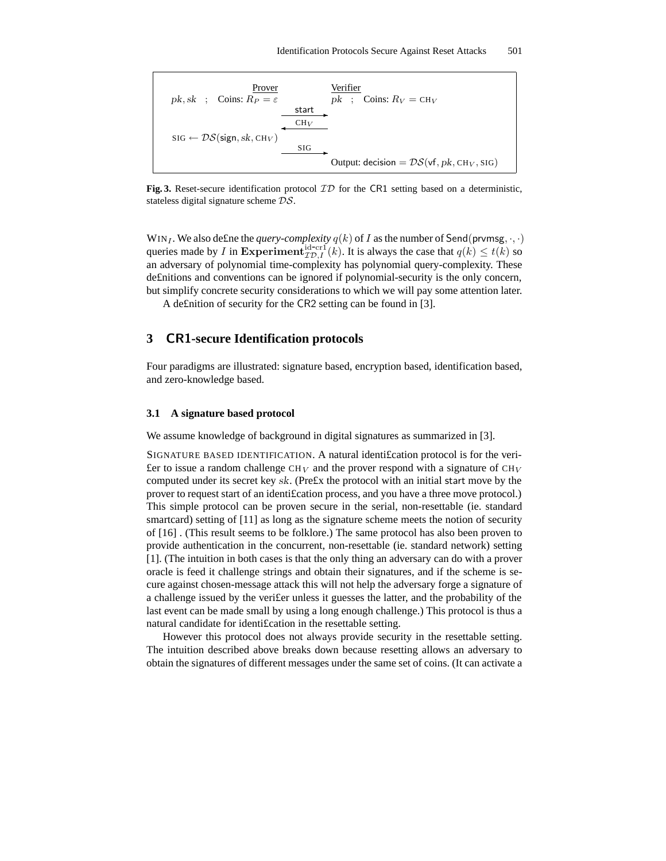

**Fig. 3.** Reset-secure identification protocol  $ID$  for the CR1 setting based on a deterministic, stateless digital signature scheme DS.

 $WIN_I$ . We also de£ne the *query-complexity*  $q(k)$  of *I* as the number of Send(prvmsg,  $\cdot$ ,  $\cdot$ ) queries made by I in Experiment  $_{\mathcal{ID},I}^{id-cr1}(k)$ . It is always the case that  $q(k) \le t(k)$  so an adversary of polynomial time-complexity has polynomial query-complexity. These de£nitions and conventions can be ignored if polynomial-security is the only concern, but simplify concrete security considerations to which we will pay some attention later.

A de£nition of security for the CR2 setting can be found in [3].

## **3** CR1**-secure Identification protocols**

Four paradigms are illustrated: signature based, encryption based, identification based, and zero-knowledge based.

## **3.1 A signature based protocol**

We assume knowledge of background in digital signatures as summarized in [3].

SIGNATURE BASED IDENTIFICATION. A natural identi£cation protocol is for the veri-  $\text{f}$ er to issue a random challenge CH<sub>V</sub> and the prover respond with a signature of CH<sub>V</sub> computed under its secret key sk. (Pre£x the protocol with an initial start move by the prover to request start of an identi£cation process, and you have a three move protocol.) This simple protocol can be proven secure in the serial, non-resettable (ie. standard smartcard) setting of [11] as long as the signature scheme meets the notion of security of [16] . (This result seems to be folklore.) The same protocol has also been proven to provide authentication in the concurrent, non-resettable (ie. standard network) setting [1]. (The intuition in both cases is that the only thing an adversary can do with a prover oracle is feed it challenge strings and obtain their signatures, and if the scheme is secure against chosen-message attack this will not help the adversary forge a signature of a challenge issued by the veri£er unless it guesses the latter, and the probability of the last event can be made small by using a long enough challenge.) This protocol is thus a natural candidate for identi£cation in the resettable setting.

However this protocol does not always provide security in the resettable setting. The intuition described above breaks down because resetting allows an adversary to obtain the signatures of different messages under the same set of coins. (It can activate a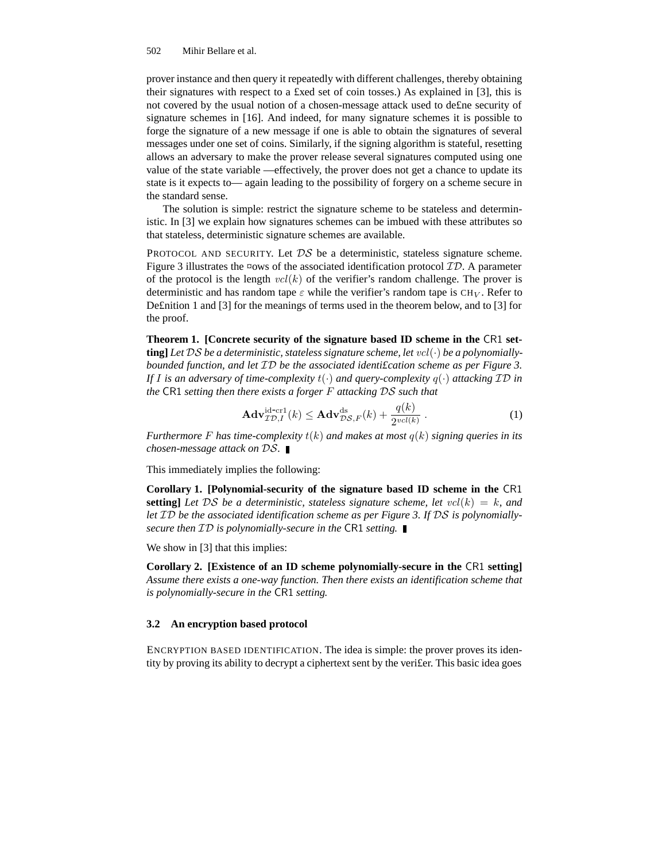prover instance and then query it repeatedly with different challenges, thereby obtaining their signatures with respect to a £xed set of coin tosses.) As explained in [3], this is not covered by the usual notion of a chosen-message attack used to de£ne security of signature schemes in [16]. And indeed, for many signature schemes it is possible to forge the signature of a new message if one is able to obtain the signatures of several messages under one set of coins. Similarly, if the signing algorithm is stateful, resetting allows an adversary to make the prover release several signatures computed using one value of the state variable —effectively, the prover does not get a chance to update its state is it expects to— again leading to the possibility of forgery on a scheme secure in the standard sense.

The solution is simple: restrict the signature scheme to be stateless and deterministic. In [3] we explain how signatures schemes can be imbued with these attributes so that stateless, deterministic signature schemes are available.

PROTOCOL AND SECURITY. Let  $DS$  be a deterministic, stateless signature scheme. Figure 3 illustrates the ¤ows of the associated identification protocol  $ID$ . A parameter of the protocol is the length  $vcl(k)$  of the verifier's random challenge. The prover is deterministic and has random tape  $\varepsilon$  while the verifier's random tape is CH<sub>V</sub>. Refer to De£nition 1 and [3] for the meanings of terms used in the theorem below, and to [3] for the proof.

**Theorem 1. [Concrete security of the signature based ID scheme in the** CR1 **setting]** Let DS be a deterministic, stateless signature scheme, let  $vel(\cdot)$  be a polynomially*bounded function, and let* ID *be the associated identi£cation scheme as per Figure 3. If* I is an adversary of time-complexity  $t(\cdot)$  and query-complexity  $q(\cdot)$  attacking ID in *the* CR1 *setting then there exists a forger* F *attacking* DS *such that*

$$
\mathbf{Adv}_{\mathcal{ID},I}^{\mathrm{id}\text{-}cr1}(k) \le \mathbf{Adv}_{\mathcal{DS},F}^{\mathrm{ds}}(k) + \frac{q(k)}{2^{vcl(k)}}\,. \tag{1}
$$

*Furthermore F* has *time-complexity*  $t(k)$  *and makes at most*  $q(k)$  *signing queries in its chosen-message attack on* DS*.*

This immediately implies the following:

**Corollary 1. [Polynomial-security of the signature based ID scheme in the** CR1 **setting**] Let DS be a deterministic, stateless signature scheme, let  $vel(k) = k$ , and *let* ID *be the associated identification scheme as per Figure 3. If* DS *is polynomiallysecure then* ID *is polynomially-secure in the* CR1 *setting.*

We show in [3] that this implies:

**Corollary 2. [Existence of an ID scheme polynomially-secure in the** CR1 **setting]** *Assume there exists a one-way function. Then there exists an identification scheme that is polynomially-secure in the* CR1 *setting.*

### **3.2 An encryption based protocol**

ENCRYPTION BASED IDENTIFICATION. The idea is simple: the prover proves its identity by proving its ability to decrypt a ciphertext sent by the veri£er. This basic idea goes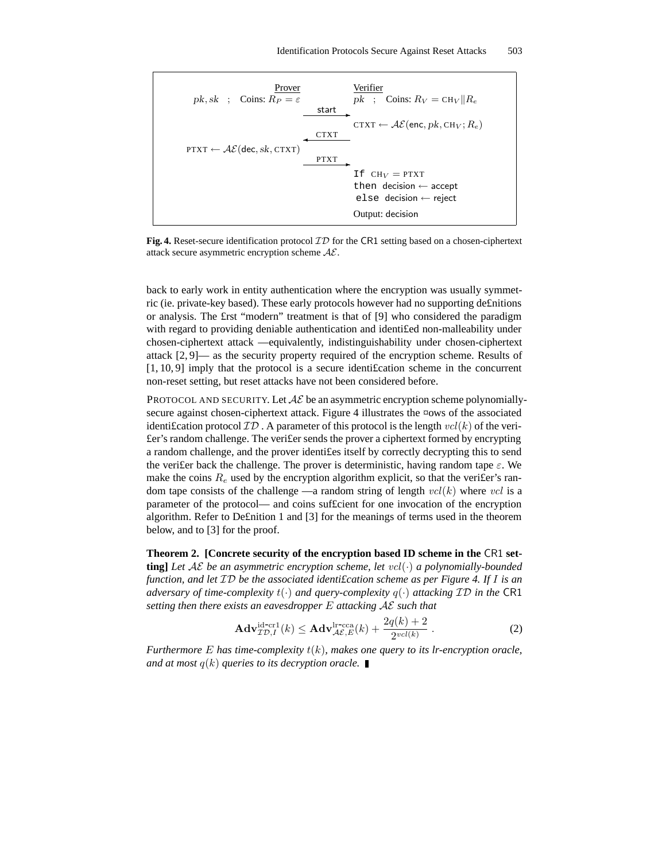

**Fig. 4.** Reset-secure identification protocol  $ID$  for the CR1 setting based on a chosen-ciphertext attack secure asymmetric encryption scheme  $A\mathcal{E}$ .

back to early work in entity authentication where the encryption was usually symmetric (ie. private-key based). These early protocols however had no supporting de£nitions or analysis. The £rst "modern" treatment is that of [9] who considered the paradigm with regard to providing deniable authentication and identi£ed non-malleability under chosen-ciphertext attack —equivalently, indistinguishability under chosen-ciphertext attack [2, 9]— as the security property required of the encryption scheme. Results of [1, 10, 9] imply that the protocol is a secure identi£cation scheme in the concurrent non-reset setting, but reset attacks have not been considered before.

PROTOCOL AND SECURITY. Let  $AE$  be an asymmetric encryption scheme polynomiallysecure against chosen-ciphertext attack. Figure 4 illustrates the ¤ows of the associated identification protocol  $\mathcal{ID}$ . A parameter of this protocol is the length  $\mathit{vel}(k)$  of the veri-£er's random challenge. The veri£er sends the prover a ciphertext formed by encrypting a random challenge, and the prover identi£es itself by correctly decrypting this to send the veri£er back the challenge. The prover is deterministic, having random tape  $\varepsilon$ . We make the coins  $R_e$  used by the encryption algorithm explicit, so that the verifer's random tape consists of the challenge —a random string of length  $vcl(k)$  where  $vcl$  is a parameter of the protocol— and coins suf£cient for one invocation of the encryption algorithm. Refer to De£nition 1 and [3] for the meanings of terms used in the theorem below, and to [3] for the proof.

**Theorem 2. [Concrete security of the encryption based ID scheme in the** CR1 **setting]** *Let* AE *be an asymmetric encryption scheme, let* vcl(·) *a polynomially-bounded function, and let* ID *be the associated identi£cation scheme as per Figure 4. If* I *is an adversary of time-complexity*  $t(\cdot)$  *and query-complexity*  $q(\cdot)$  *attacking*  $ID$  *in the* CR1 *setting then there exists an eavesdropper* E *attacking* AE *such that*

$$
\mathbf{Adv}_{\mathcal{ID},I}^{\mathrm{id}\text{-}cr1}(k) \le \mathbf{Adv}_{\mathcal{AE},E}^{\mathrm{lr}\text{-}cca}(k) + \frac{2q(k) + 2}{2^{vcl(k)}}\,. \tag{2}
$$

*Furthermore* E *has time-complexity* t(k)*, makes one query to its lr-encryption oracle, and at most*  $q(k)$  *queries to its decryption oracle.*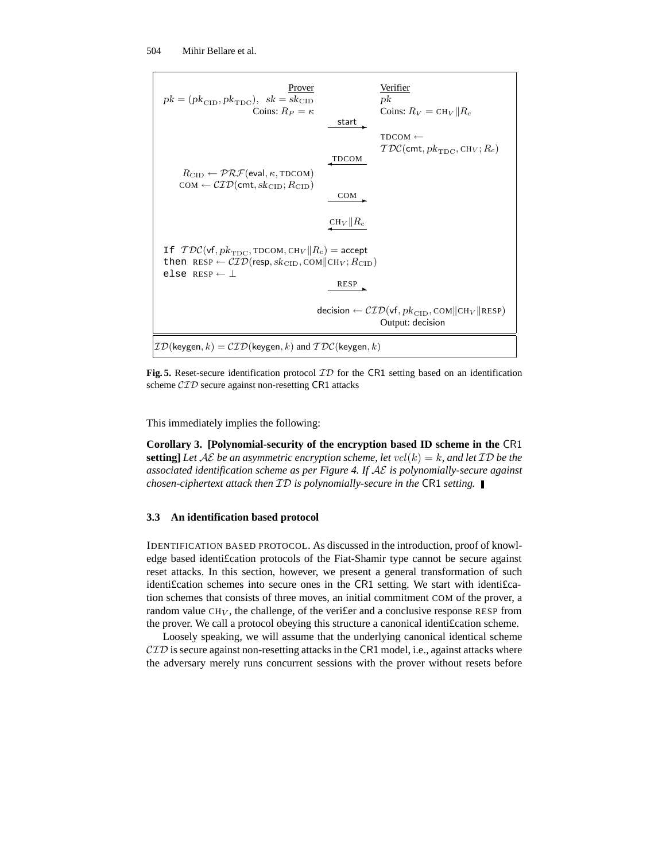| Prover<br>$pk = (pk_{CID}, pk_{TDC}), \; sk = sk_{CID}$<br>Coins: $R_P = \kappa$                                                                                                                                                                                                      |                            | Verifier<br>pk<br>Coins: $R_V = CH_V    R_c$                                              |
|---------------------------------------------------------------------------------------------------------------------------------------------------------------------------------------------------------------------------------------------------------------------------------------|----------------------------|-------------------------------------------------------------------------------------------|
| $R_{\text{CID}} \leftarrow \mathcal{PRF}(\text{eval}, \kappa, \text{TDCOM})$<br>COM $\leftarrow$ CTD(cmt, sk <sub>CID</sub> ; R <sub>CID</sub> )                                                                                                                                      | start<br>TDCOM             | $TDCOM \leftarrow$<br>$\mathcal{TDC}$ (cmt, $pk_{\text{TDC}}$ , CH <sub>V</sub> ; $R_c$ ) |
|                                                                                                                                                                                                                                                                                       | <b>COM</b><br>$CHV$ $ R_c$ |                                                                                           |
| If $\mathcal{TDC}(\mathsf{vf}, \mathsf{pk}_{\mathsf{TDC}}, \mathsf{TDCOM}, \mathsf{CH}_V \Vert R_c) = \mathsf{accept}$<br>then $\text{resp} \leftarrow \mathcal{CID}(\text{resp}, sk_{\text{CID}}, \text{COM}    \text{CH}_V; R_{\text{CID}})$<br>else RESP $\leftarrow \bot$<br>RESP |                            |                                                                                           |
| decision $\leftarrow$ $\mathcal{CID}(\mathsf{vf}, \mathsf{pk}_{\text{CID}}, \text{COM}  \text{CH}_V  \text{RESP})$<br>Output: decision                                                                                                                                                |                            |                                                                                           |
| $\mathcal{ID}$ (keygen, k) = $\mathcal{CID}$ (keygen, k) and $\mathcal{TDC}$ (keygen, k)                                                                                                                                                                                              |                            |                                                                                           |

Fig. 5. Reset-secure identification protocol  $ID$  for the CR1 setting based on an identification scheme CID secure against non-resetting CR1 attacks

This immediately implies the following:

**Corollary 3. [Polynomial-security of the encryption based ID scheme in the** CR1 **setting**] Let  $A\mathcal{E}$  be an asymmetric encryption scheme, let  $vel(k) = k$ , and let  $ID$  be the *associated identification scheme as per Figure 4. If* AE *is polynomially-secure against chosen-ciphertext attack then* ID *is polynomially-secure in the* CR1 *setting.*

## **3.3 An identification based protocol**

IDENTIFICATION BASED PROTOCOL. As discussed in the introduction, proof of knowledge based identi£cation protocols of the Fiat-Shamir type cannot be secure against reset attacks. In this section, however, we present a general transformation of such identi£cation schemes into secure ones in the CR1 setting. We start with identi£cation schemes that consists of three moves, an initial commitment COM of the prover, a random value  $CH_V$ , the challenge, of the veri£er and a conclusive response RESP from the prover. We call a protocol obeying this structure a canonical identi£cation scheme.

Loosely speaking, we will assume that the underlying canonical identical scheme  $\mathcal{CID}$  is secure against non-resetting attacks in the CR1 model, i.e., against attacks where the adversary merely runs concurrent sessions with the prover without resets before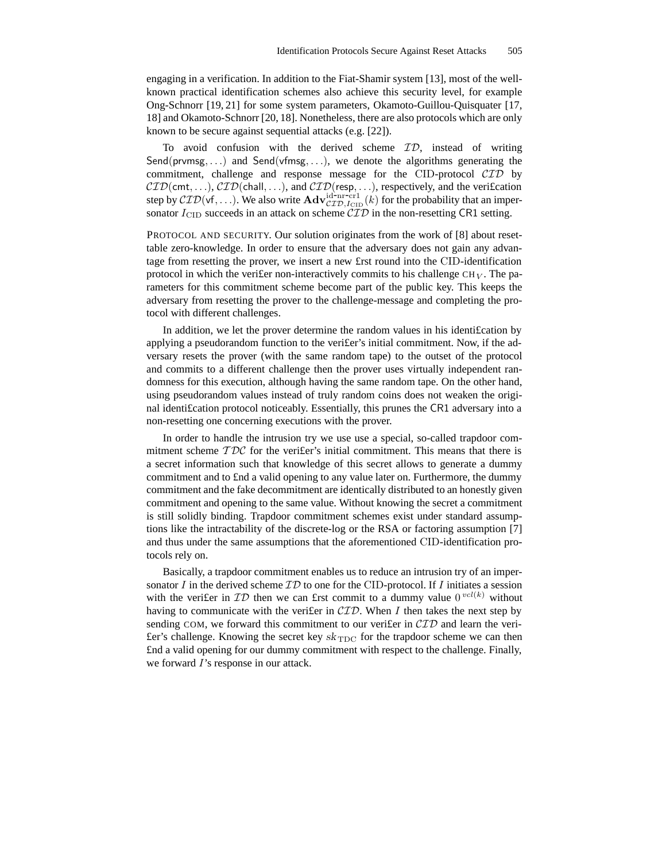engaging in a verification. In addition to the Fiat-Shamir system [13], most of the wellknown practical identification schemes also achieve this security level, for example Ong-Schnorr [19, 21] for some system parameters, Okamoto-Guillou-Quisquater [17, 18] and Okamoto-Schnorr [20, 18]. Nonetheless, there are also protocols which are only known to be secure against sequential attacks (e.g. [22]).

To avoid confusion with the derived scheme  $ID$ , instead of writing Send(prvmsg, ...) and Send(vfmsg, ...), we denote the algorithms generating the commitment, challenge and response message for the CID-protocol CID by  $\mathcal{CID}(\mathsf{cmt}, \ldots), \mathcal{CID}(\mathsf{chall}, \ldots)$ , and  $\mathcal{CID}(\mathsf{resp}, \ldots)$ , respectively, and the verification step by  $\mathcal{LID}(vf, ...)$ . We also write  $\mathbf{Adv}_{\mathcal{CID},I_{\text{CID}}^{i}^{d-nr-ct}}^{i d-nr-ct}(k)$  for the probability that an impersonator  $I_{\text{CID}}$  succeeds in an attack on scheme  $\mathcal{CID}$  in the non-resetting CR1 setting.

PROTOCOL AND SECURITY. Our solution originates from the work of [8] about resettable zero-knowledge. In order to ensure that the adversary does not gain any advantage from resetting the prover, we insert a new £rst round into the CID-identification protocol in which the veri£er non-interactively commits to his challenge  $CH_V$ . The parameters for this commitment scheme become part of the public key. This keeps the adversary from resetting the prover to the challenge-message and completing the protocol with different challenges.

In addition, we let the prover determine the random values in his identification by applying a pseudorandom function to the veri£er's initial commitment. Now, if the adversary resets the prover (with the same random tape) to the outset of the protocol and commits to a different challenge then the prover uses virtually independent randomness for this execution, although having the same random tape. On the other hand, using pseudorandom values instead of truly random coins does not weaken the original identi£cation protocol noticeably. Essentially, this prunes the CR1 adversary into a non-resetting one concerning executions with the prover.

In order to handle the intrusion try we use use a special, so-called trapdoor commitment scheme  $TDC$  for the verifer's initial commitment. This means that there is a secret information such that knowledge of this secret allows to generate a dummy commitment and to £nd a valid opening to any value later on. Furthermore, the dummy commitment and the fake decommitment are identically distributed to an honestly given commitment and opening to the same value. Without knowing the secret a commitment is still solidly binding. Trapdoor commitment schemes exist under standard assumptions like the intractability of the discrete-log or the RSA or factoring assumption [7] and thus under the same assumptions that the aforementioned CID-identification protocols rely on.

Basically, a trapdoor commitment enables us to reduce an intrusion try of an impersonator I in the derived scheme  $ID$  to one for the CID-protocol. If I initiates a session with the verifer in  $\mathcal{ID}$  then we can first commit to a dummy value  $0^{vcl(k)}$  without having to communicate with the verifer in  $\mathcal{CID}$ . When I then takes the next step by sending COM, we forward this commitment to our verifer in  $\mathcal{CID}$  and learn the veri- $\epsilon$  fer's challenge. Knowing the secret key  $s\kappa_{\text{TDC}}$  for the trapdoor scheme we can then £nd a valid opening for our dummy commitment with respect to the challenge. Finally, we forward I's response in our attack.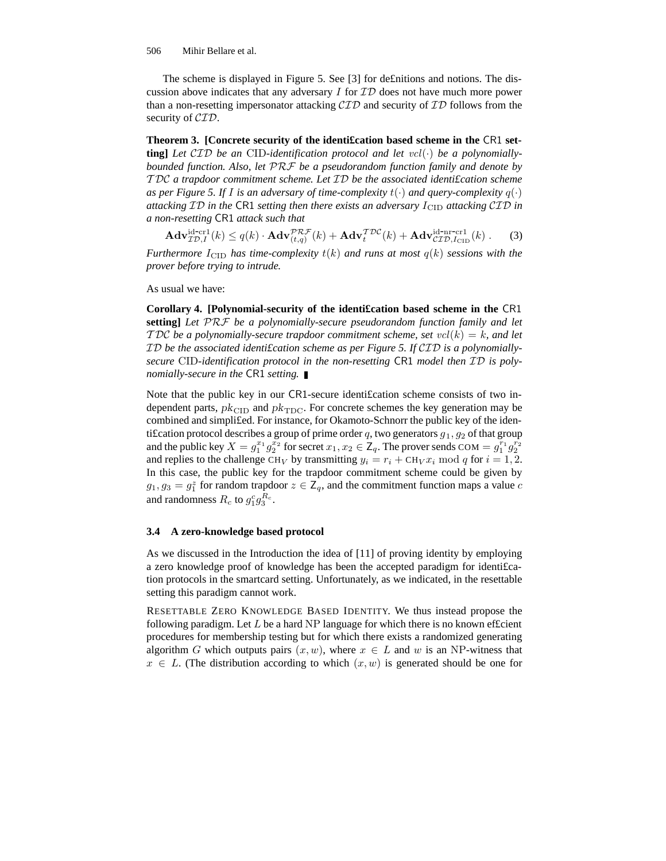The scheme is displayed in Figure 5. See [3] for de£nitions and notions. The discussion above indicates that any adversary I for  $\mathcal{ID}$  does not have much more power than a non-resetting impersonator attacking  $\mathcal{CID}$  and security of  $\mathcal{ID}$  follows from the security of  $\mathcal{CID}$ .

**Theorem 3. [Concrete security of the identi£cation based scheme in the** CR1 **setting]** *Let* CID *be an* CID*-identification protocol and let* vcl(·) *be a polynomiallybounded function. Also, let* PRF *be a pseudorandom function family and denote by* T DC *a trapdoor commitment scheme. Let* ID *be the associated identi£cation scheme as* per Figure 5. If I is an adversary of time-complexity  $t(\cdot)$  and query-complexity  $q(\cdot)$ *attacking*  $\mathcal{ID}$  *in the* CR1 *setting then there exists an adversary*  $I_{\text{CID}}$  *attacking*  $\mathcal{CID}$  *in a non-resetting* CR1 *attack such that*

$$
\mathbf{Adv}_{\mathcal{ID},I}^{\mathrm{id}\text{-}\mathrm{cr1}}(k) \le q(k) \cdot \mathbf{Adv}_{(t,q)}^{\mathcal{PRF}}(k) + \mathbf{Adv}_{t}^{\mathcal{TDC}}(k) + \mathbf{Adv}_{\mathcal{CID},I\mathrm{CLD}}^{\mathrm{id}\text{-}\mathrm{nr}\text{-}\mathrm{cr1}}(k) . \tag{3}
$$

*Furthermore*  $I_{\text{CID}}$  *has time-complexity*  $t(k)$  *and runs at most*  $q(k)$  *sessions with the prover before trying to intrude.*

As usual we have:

**Corollary 4. [Polynomial-security of the identi£cation based scheme in the** CR1 **setting]** *Let* PRF *be a polynomially-secure pseudorandom function family and let* TDC be a polynomially-secure trapdoor commitment scheme, set  $vel(k) = k$ , and let ID *be the associated identi£cation scheme as per Figure 5. If* CID *is a polynomiallysecure* CID*-identification protocol in the non-resetting* CR1 *model then* ID *is polynomially-secure in the* CR1 *setting.*

Note that the public key in our CR1-secure identi£cation scheme consists of two independent parts,  $pk_{CID}$  and  $pk_{TDC}$ . For concrete schemes the key generation may be combined and simpli£ed. For instance, for Okamoto-Schnorr the public key of the identi£cation protocol describes a group of prime order q, two generators  $g_1, g_2$  of that group and the public key  $X = g_1^{x_1} g_2^{x_2}$  for secret  $x_1, x_2 \in \mathsf{Z}_q$ . The prover sends  $COM = g_1^{r_1} g_2^{r_2}$ and replies to the challenge CH<sub>V</sub> by transmitting  $y_i = r_i + \text{CH}_V x_i \text{ mod } q$  for  $i = 1, 2$ . In this case, the public key for the trapdoor commitment scheme could be given by  $g_1, g_3 = g_1^z$  for random trapdoor  $z \in \mathsf{Z}_q$ , and the commitment function maps a value c and randomness  $R_c$  to  $g_1^c g_3^{R_c}$ .

### **3.4 A zero-knowledge based protocol**

As we discussed in the Introduction the idea of [11] of proving identity by employing a zero knowledge proof of knowledge has been the accepted paradigm for identi£cation protocols in the smartcard setting. Unfortunately, as we indicated, in the resettable setting this paradigm cannot work.

RESETTABLE ZERO KNOWLEDGE BASED IDENTITY. We thus instead propose the following paradigm. Let  $L$  be a hard NP language for which there is no known efficient procedures for membership testing but for which there exists a randomized generating algorithm G which outputs pairs  $(x, w)$ , where  $x \in L$  and w is an NP-witness that  $x \in L$ . (The distribution according to which  $(x, w)$  is generated should be one for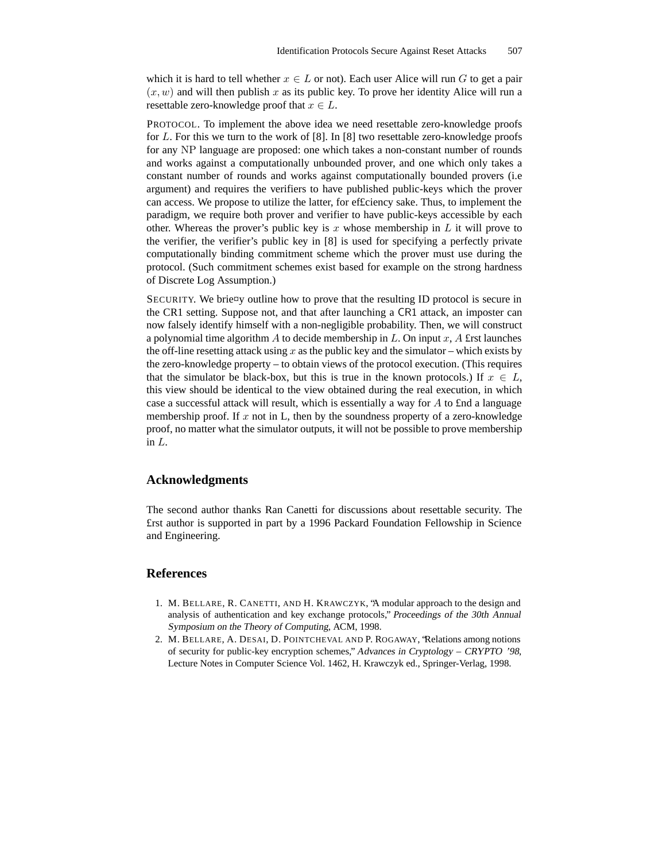which it is hard to tell whether  $x \in L$  or not). Each user Alice will run G to get a pair  $(x, w)$  and will then publish x as its public key. To prove her identity Alice will run a resettable zero-knowledge proof that  $x \in L$ .

PROTOCOL. To implement the above idea we need resettable zero-knowledge proofs for L. For this we turn to the work of [8]. In [8] two resettable zero-knowledge proofs for any NP language are proposed: one which takes a non-constant number of rounds and works against a computationally unbounded prover, and one which only takes a constant number of rounds and works against computationally bounded provers (i.e argument) and requires the verifiers to have published public-keys which the prover can access. We propose to utilize the latter, for ef£ciency sake. Thus, to implement the paradigm, we require both prover and verifier to have public-keys accessible by each other. Whereas the prover's public key is x whose membership in  $L$  it will prove to the verifier, the verifier's public key in [8] is used for specifying a perfectly private computationally binding commitment scheme which the prover must use during the protocol. (Such commitment schemes exist based for example on the strong hardness of Discrete Log Assumption.)

SECURITY. We brie¤y outline how to prove that the resulting ID protocol is secure in the CR1 setting. Suppose not, and that after launching a CR1 attack, an imposter can now falsely identify himself with a non-negligible probability. Then, we will construct a polynomial time algorithm A to decide membership in L. On input  $x$ , A first launches the off-line resetting attack using  $x$  as the public key and the simulator – which exists by the zero-knowledge property – to obtain views of the protocol execution. (This requires that the simulator be black-box, but this is true in the known protocols.) If  $x \in L$ , this view should be identical to the view obtained during the real execution, in which case a successful attack will result, which is essentially a way for  $A$  to £nd a language membership proof. If  $x$  not in L, then by the soundness property of a zero-knowledge proof, no matter what the simulator outputs, it will not be possible to prove membership in L.

## **Acknowledgments**

The second author thanks Ran Canetti for discussions about resettable security. The £rst author is supported in part by a 1996 Packard Foundation Fellowship in Science and Engineering.

## **References**

- 1. M. BELLARE, R. CANETTI, AND H. KRAWCZYK, "A modular approach to the design and analysis of authentication and key exchange protocols," Proceedings of the 30th Annual Symposium on the Theory of Computing, ACM, 1998.
- 2. M. BELLARE, A. DESAI, D. POINTCHEVAL AND P. ROGAWAY, "Relations among notions of security for public-key encryption schemes," Advances in Cryptology – CRYPTO '98, Lecture Notes in Computer Science Vol. 1462, H. Krawczyk ed., Springer-Verlag, 1998.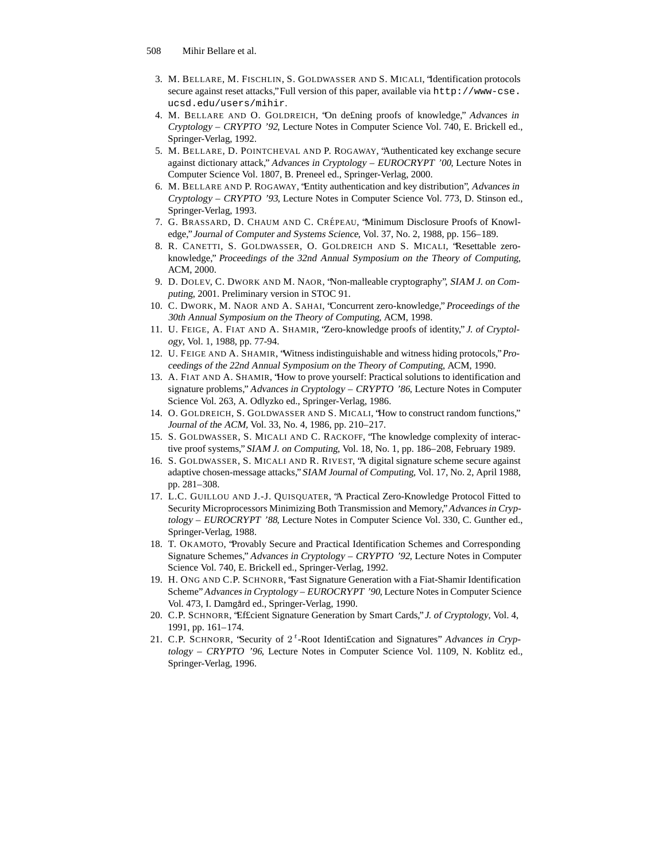- 3. M. BELLARE, M. FISCHLIN, S. GOLDWASSER AND S. MICALI, "Identification protocols secure against reset attacks," Full version of this paper, available via http://www-cse. ucsd.edu/users/mihir.
- 4. M. BELLARE AND O. GOLDREICH, "On de£ning proofs of knowledge," Advances in Cryptology – CRYPTO '92, Lecture Notes in Computer Science Vol. 740, E. Brickell ed., Springer-Verlag, 1992.
- 5. M. BELLARE, D. POINTCHEVAL AND P. ROGAWAY, "Authenticated key exchange secure against dictionary attack," Advances in Cryptology – EUROCRYPT '00, Lecture Notes in Computer Science Vol. 1807, B. Preneel ed., Springer-Verlag, 2000.
- 6. M. BELLARE AND P. ROGAWAY, "Entity authentication and key distribution", Advances in Cryptology – CRYPTO '93, Lecture Notes in Computer Science Vol. 773, D. Stinson ed., Springer-Verlag, 1993.
- 7. G. BRASSARD, D. CHAUM AND C. CRÉPEAU, 'Minimum Disclosure Proofs of Knowledge," Journal of Computer and Systems Science, Vol. 37, No. 2, 1988, pp. 156–189.
- 8. R. CANETTI, S. GOLDWASSER, O. GOLDREICH AND S. MICALI, "Resettable zeroknowledge," Proceedings of the 32nd Annual Symposium on the Theory of Computing, ACM, 2000.
- 9. D. DOLEV, C. DWORK AND M. NAOR, "Non-malleable cryptography", SIAM J. on Computing, 2001. Preliminary version in STOC 91.
- 10. C. DWORK, M. NAOR AND A. SAHAI, "Concurrent zero-knowledge," Proceedings of the 30th Annual Symposium on the Theory of Computing, ACM, 1998.
- 11. U. FEIGE, A. FIAT AND A. SHAMIR, "Zero-knowledge proofs of identity," J. of Cryptology, Vol. 1, 1988, pp. 77-94.
- 12. U. FEIGE AND A. SHAMIR, "Witness indistinguishable and witness hiding protocols," Proceedings of the 22nd Annual Symposium on the Theory of Computing, ACM, 1990.
- 13. A. FIAT AND A. SHAMIR, "How to prove yourself: Practical solutions to identification and signature problems," Advances in Cryptology – CRYPTO '86, Lecture Notes in Computer Science Vol. 263, A. Odlyzko ed., Springer-Verlag, 1986.
- 14. O. GOLDREICH, S. GOLDWASSER AND S. MICALI, "How to construct random functions," Journal of the ACM, Vol. 33, No. 4, 1986, pp. 210–217.
- 15. S. GOLDWASSER, S. MICALI AND C. RACKOFF, "The knowledge complexity of interactive proof systems," SIAM J. on Computing, Vol. 18, No. 1, pp. 186–208, February 1989.
- 16. S. GOLDWASSER, S. MICALI AND R. RIVEST, "A digital signature scheme secure against adaptive chosen-message attacks," SIAM Journal of Computing, Vol. 17, No. 2, April 1988, pp. 281–308.
- 17. L.C. GUILLOU AND J.-J. QUISQUATER, "A Practical Zero-Knowledge Protocol Fitted to Security Microprocessors Minimizing Both Transmission and Memory," Advances in Cryptology – EUROCRYPT '88, Lecture Notes in Computer Science Vol. 330, C. Gunther ed., Springer-Verlag, 1988.
- 18. T. OKAMOTO, "Provably Secure and Practical Identification Schemes and Corresponding Signature Schemes," Advances in Cryptology – CRYPTO '92, Lecture Notes in Computer Science Vol. 740, E. Brickell ed., Springer-Verlag, 1992.
- 19. H. ONG AND C.P. SCHNORR, "Fast Signature Generation with a Fiat-Shamir Identification Scheme" Advances in Cryptology – EUROCRYPT '90, Lecture Notes in Computer Science Vol. 473, I. Damgård ed., Springer-Verlag, 1990.
- 20. C.P. SCHNORR, "Ef£cient Signature Generation by Smart Cards," J. of Cryptology, Vol. 4, 1991, pp. 161–174.
- 21. C.P. SCHNORR, 'Security of  $2<sup>t</sup>$ -Root Identification and Signatures" Advances in Cryptology – CRYPTO '96, Lecture Notes in Computer Science Vol. 1109, N. Koblitz ed., Springer-Verlag, 1996.